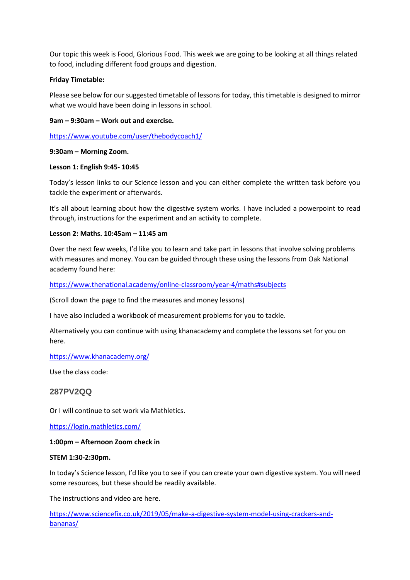Our topic this week is Food, Glorious Food. This week we are going to be looking at all things related to food, including different food groups and digestion.

## **Friday Timetable:**

Please see below for our suggested timetable of lessons for today, this timetable is designed to mirror what we would have been doing in lessons in school.

## **9am – 9:30am – Work out and exercise.**

<https://www.youtube.com/user/thebodycoach1/>

#### **9:30am – Morning Zoom.**

#### **Lesson 1: English 9:45- 10:45**

Today's lesson links to our Science lesson and you can either complete the written task before you tackle the experiment or afterwards.

It's all about learning about how the digestive system works. I have included a powerpoint to read through, instructions for the experiment and an activity to complete.

## **Lesson 2: Maths. 10:45am – 11:45 am**

Over the next few weeks, I'd like you to learn and take part in lessons that involve solving problems with measures and money. You can be guided through these using the lessons from Oak National academy found here:

#### <https://www.thenational.academy/online-classroom/year-4/maths#subjects>

(Scroll down the page to find the measures and money lessons)

I have also included a workbook of measurement problems for you to tackle.

Alternatively you can continue with using khanacademy and complete the lessons set for you on here.

#### <https://www.khanacademy.org/>

Use the class code:

# **287PV2QQ**

Or I will continue to set work via Mathletics.

<https://login.mathletics.com/>

#### **1:00pm – Afternoon Zoom check in**

#### **STEM 1:30-2:30pm.**

In today's Science lesson, I'd like you to see if you can create your own digestive system. You will need some resources, but these should be readily available.

The instructions and video are here.

[https://www.sciencefix.co.uk/2019/05/make-a-digestive-system-model-using-crackers-and](https://www.sciencefix.co.uk/2019/05/make-a-digestive-system-model-using-crackers-and-bananas/)[bananas/](https://www.sciencefix.co.uk/2019/05/make-a-digestive-system-model-using-crackers-and-bananas/)